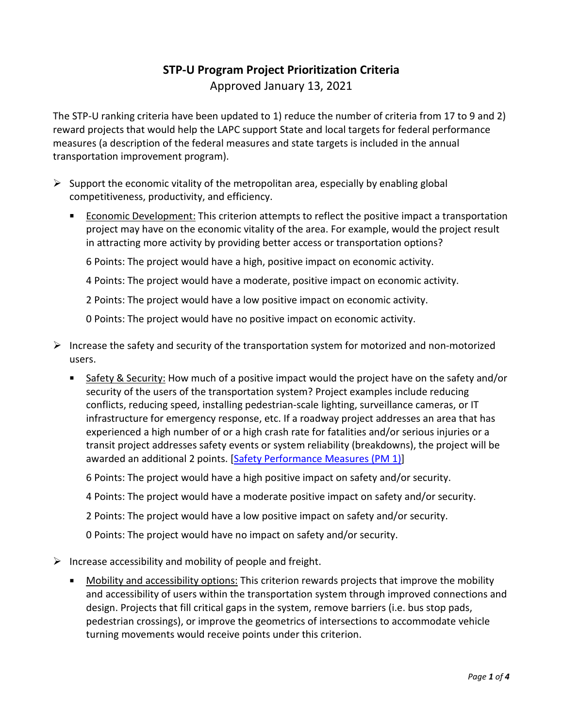## **STP-U Program Project Prioritization Criteria**

Approved January 13, 2021

The STP-U ranking criteria have been updated to 1) reduce the number of criteria from 17 to 9 and 2) reward projects that would help the LAPC support State and local targets for federal performance measures (a description of the federal measures and state targets is included in the annual transportation improvement program).

- $\triangleright$  Support the economic vitality of the metropolitan area, especially by enabling global competitiveness, productivity, and efficiency.
	- Economic Development: This criterion attempts to reflect the positive impact a transportation project may have on the economic vitality of the area. For example, would the project result in attracting more activity by providing better access or transportation options?

6 Points: The project would have a high, positive impact on economic activity.

4 Points: The project would have a moderate, positive impact on economic activity.

2 Points: The project would have a low positive impact on economic activity.

0 Points: The project would have no positive impact on economic activity.

- $\triangleright$  Increase the safety and security of the transportation system for motorized and non-motorized users.
	- Safety & Security: How much of a positive impact would the project have on the safety and/or security of the users of the transportation system? Project examples include reducing conflicts, reducing speed, installing pedestrian-scale lighting, surveillance cameras, or IT infrastructure for emergency response, etc. If a roadway project addresses an area that has experienced a high number of or a high crash rate for fatalities and/or serious injuries or a transit project addresses safety events or system reliability (breakdowns), the project will be awarded an additional 2 points. [\[Safety Performance Measures](https://wisconsindot.gov/Pages/about-wisdot/performance/fed-measures/safety.aspx) (PM 1)]

6 Points: The project would have a high positive impact on safety and/or security.

4 Points: The project would have a moderate positive impact on safety and/or security.

2 Points: The project would have a low positive impact on safety and/or security.

0 Points: The project would have no impact on safety and/or security.

 $\triangleright$  Increase accessibility and mobility of people and freight.

Mobility and accessibility options: This criterion rewards projects that improve the mobility and accessibility of users within the transportation system through improved connections and design. Projects that fill critical gaps in the system, remove barriers (i.e. bus stop pads, pedestrian crossings), or improve the geometrics of intersections to accommodate vehicle turning movements would receive points under this criterion.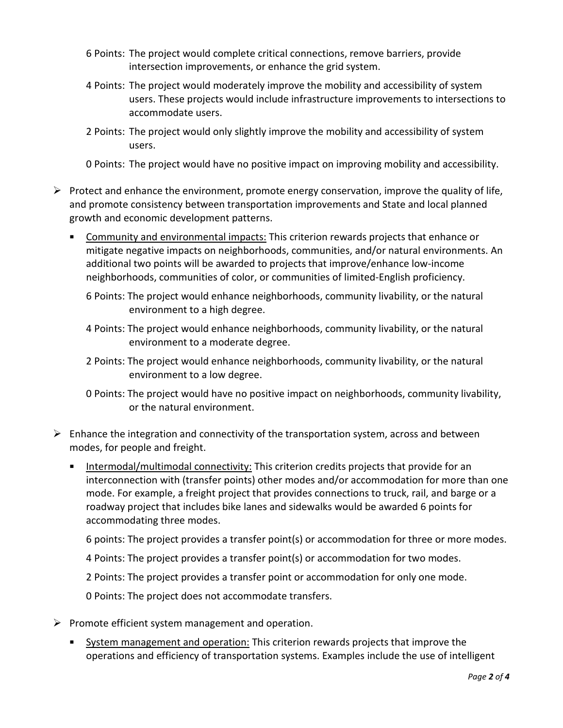- 6 Points: The project would complete critical connections, remove barriers, provide intersection improvements, or enhance the grid system.
- 4 Points: The project would moderately improve the mobility and accessibility of system users. These projects would include infrastructure improvements to intersections to accommodate users.
- 2 Points: The project would only slightly improve the mobility and accessibility of system users.
- 0 Points: The project would have no positive impact on improving mobility and accessibility.
- $\triangleright$  Protect and enhance the environment, promote energy conservation, improve the quality of life, and promote consistency between transportation improvements and State and local planned growth and economic development patterns.
	- Community and environmental impacts: This criterion rewards projects that enhance or mitigate negative impacts on neighborhoods, communities, and/or natural environments. An additional two points will be awarded to projects that improve/enhance low-income neighborhoods, communities of color, or communities of limited-English proficiency.
		- 6 Points: The project would enhance neighborhoods, community livability, or the natural environment to a high degree.
		- 4 Points: The project would enhance neighborhoods, community livability, or the natural environment to a moderate degree.
		- 2 Points: The project would enhance neighborhoods, community livability, or the natural environment to a low degree.
		- 0 Points: The project would have no positive impact on neighborhoods, community livability, or the natural environment.
- $\triangleright$  Enhance the integration and connectivity of the transportation system, across and between modes, for people and freight.
	- Intermodal/multimodal connectivity: This criterion credits projects that provide for an interconnection with (transfer points) other modes and/or accommodation for more than one mode. For example, a freight project that provides connections to truck, rail, and barge or a roadway project that includes bike lanes and sidewalks would be awarded 6 points for accommodating three modes.

6 points: The project provides a transfer point(s) or accommodation for three or more modes.

4 Points: The project provides a transfer point(s) or accommodation for two modes.

2 Points: The project provides a transfer point or accommodation for only one mode.

0 Points: The project does not accommodate transfers.

- $\triangleright$  Promote efficient system management and operation.
	- System management and operation: This criterion rewards projects that improve the operations and efficiency of transportation systems. Examples include the use of intelligent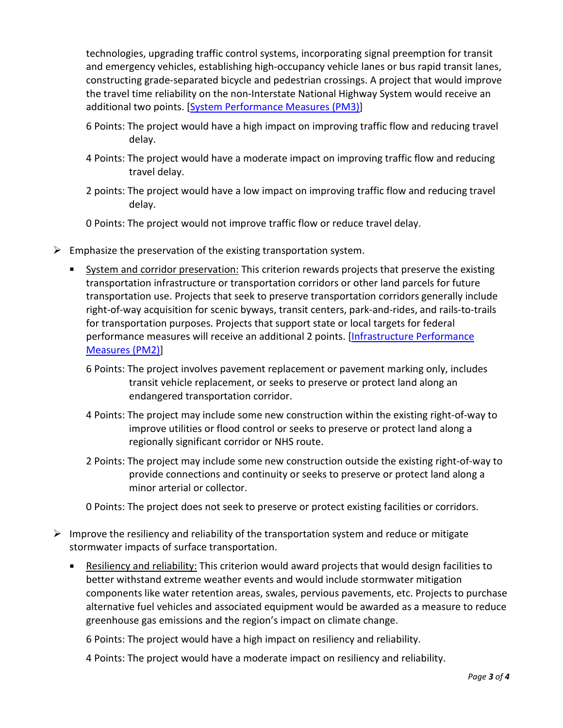technologies, upgrading traffic control systems, incorporating signal preemption for transit and emergency vehicles, establishing high-occupancy vehicle lanes or bus rapid transit lanes, constructing grade-separated bicycle and pedestrian crossings. A project that would improve the travel time reliability on the non-Interstate National Highway System would receive an additional two points. [\[System Performance Measures \(PM3\)\]](https://wisconsindot.gov/Pages/about-wisdot/performance/fed-measures/sys-perf.aspx)

- 6 Points: The project would have a high impact on improving traffic flow and reducing travel delay.
- 4 Points: The project would have a moderate impact on improving traffic flow and reducing travel delay.
- 2 points: The project would have a low impact on improving traffic flow and reducing travel delay.

0 Points: The project would not improve traffic flow or reduce travel delay.

- $\triangleright$  Emphasize the preservation of the existing transportation system.
	- System and corridor preservation: This criterion rewards projects that preserve the existing transportation infrastructure or transportation corridors or other land parcels for future transportation use. Projects that seek to preserve transportation corridors generally include right-of-way acquisition for scenic byways, transit centers, park-and-rides, and rails-to-trails for transportation purposes. Projects that support state or local targets for federal performance measures will receive an additional 2 points. [\[Infrastructure Performance](https://wisconsindot.gov/Pages/about-wisdot/performance/fed-measures/infrastructure.aspx)  [Measures \(PM2\)\]](https://wisconsindot.gov/Pages/about-wisdot/performance/fed-measures/infrastructure.aspx)
		- 6 Points: The project involves pavement replacement or pavement marking only, includes transit vehicle replacement, or seeks to preserve or protect land along an endangered transportation corridor.
		- 4 Points: The project may include some new construction within the existing right-of-way to improve utilities or flood control or seeks to preserve or protect land along a regionally significant corridor or NHS route.
		- 2 Points: The project may include some new construction outside the existing right-of-way to provide connections and continuity or seeks to preserve or protect land along a minor arterial or collector.

0 Points: The project does not seek to preserve or protect existing facilities or corridors.

- $\triangleright$  Improve the resiliency and reliability of the transportation system and reduce or mitigate stormwater impacts of surface transportation.
	- Resiliency and reliability: This criterion would award projects that would design facilities to better withstand extreme weather events and would include stormwater mitigation components like water retention areas, swales, pervious pavements, etc. Projects to purchase alternative fuel vehicles and associated equipment would be awarded as a measure to reduce greenhouse gas emissions and the region's impact on climate change.

6 Points: The project would have a high impact on resiliency and reliability.

4 Points: The project would have a moderate impact on resiliency and reliability.